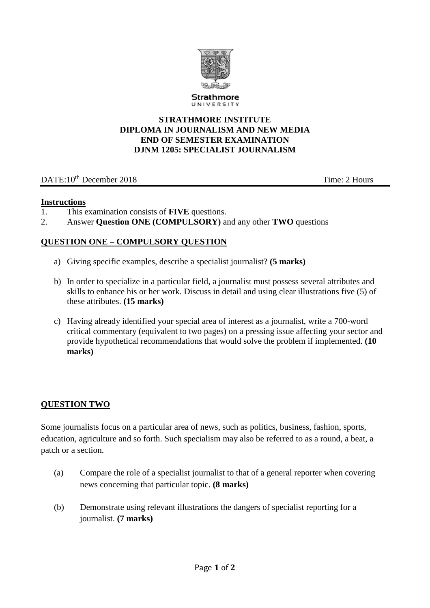

Strathmore UNIVERSIT

#### **STRATHMORE INSTITUTE DIPLOMA IN JOURNALISM AND NEW MEDIA END OF SEMESTER EXAMINATION DJNM 1205: SPECIALIST JOURNALISM**

## DATE:10<sup>th</sup> December 2018 Time: 2 Hours

### **Instructions**

- 1. This examination consists of **FIVE** questions.
- 2. Answer **Question ONE (COMPULSORY)** and any other **TWO** questions

## **QUESTION ONE – COMPULSORY QUESTION**

- a) Giving specific examples, describe a specialist journalist? **(5 marks)**
- b) In order to specialize in a particular field, a journalist must possess several attributes and skills to enhance his or her work. Discuss in detail and using clear illustrations five (5) of these attributes. **(15 marks)**
- c) Having already identified your special area of interest as a journalist, write a 700-word critical commentary (equivalent to two pages) on a pressing issue affecting your sector and provide hypothetical recommendations that would solve the problem if implemented. **(10 marks)**

### **QUESTION TWO**

Some journalists focus on a particular area of news, such as politics, business, fashion, sports, education, agriculture and so forth. Such specialism may also be referred to as a round, a beat, a patch or a section.

- (a) Compare the role of a specialist journalist to that of a general reporter when covering news concerning that particular topic. **(8 marks)**
- (b) Demonstrate using relevant illustrations the dangers of specialist reporting for a journalist. **(7 marks)**